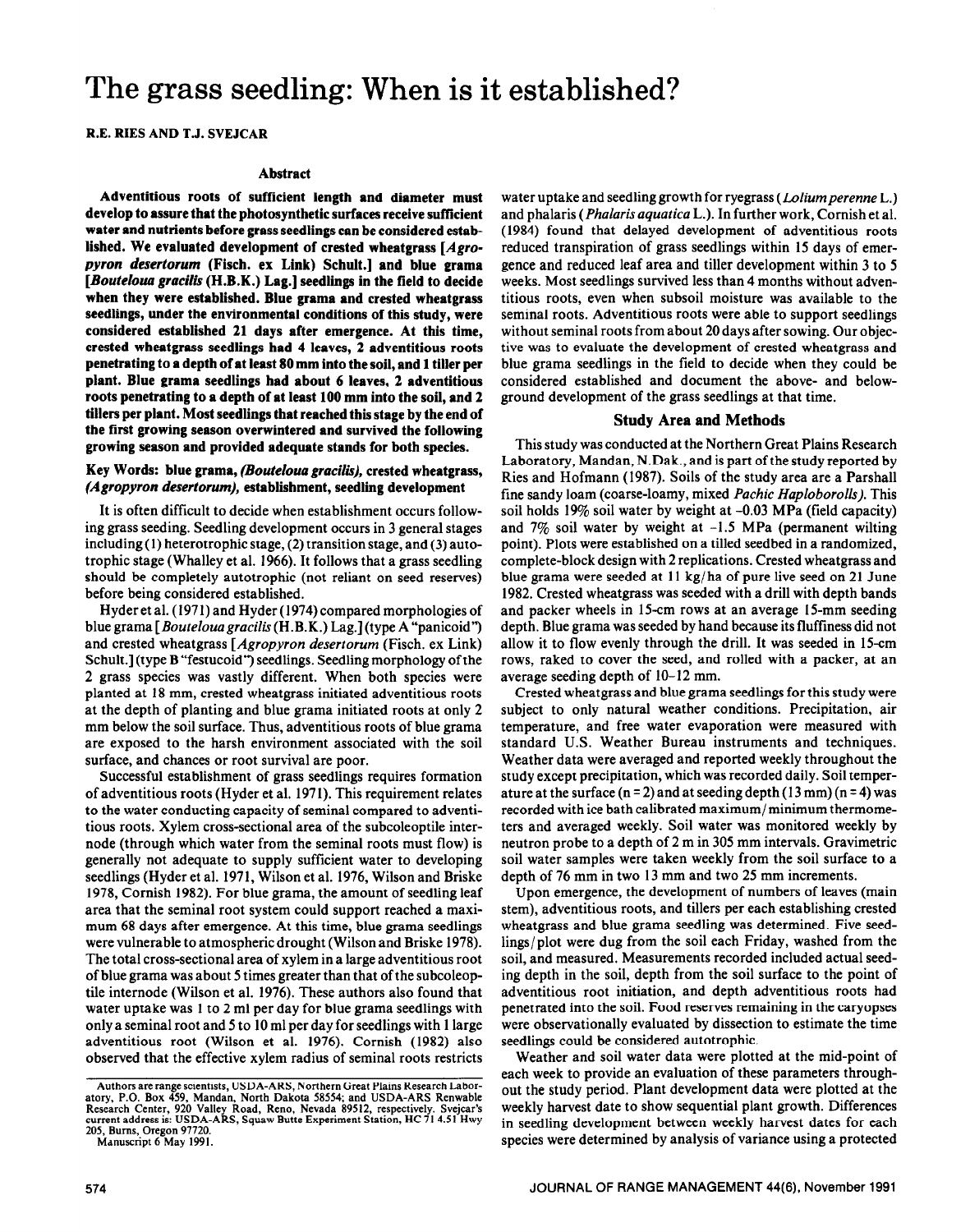# The grass seedling: When is it established?

R.E. RIES AND T.J. SVEJCAR

#### **Abstract**

**Adventitious roots of sufficient length and diameter must develop to assure that the photosynthetic surfaces receive sufficient water and nutrients before grass seedlings can be considered established. We evaluated development of crested wheatgrass** *[Agropyron desertorum* **(Fisch. ex Link) Schult.] and blue grama**  *[Bouteloua gracilis* **(H.B.K.) Lag.] seedlings in the field to decide when they were established. Blue grama and crested wheatgrass seedlings, under the environmental conditions of this study, were considered established 21 days after emergence. At this time, crested wheatgrass seedlings had 4 leaves, 2 adventitious roots penetrating to a depth of at least 80 mm into the soil, and 1 tiller per plant. Blue grama seedlings had about 6 leaves, 2 adventitious roots penetrating to a depth of at least 100 mm into the soil, and 2 tillers per plant. Most seedlings that reached this stage by the end of the first growing season overwintered and survived the following growing season and provided adequate stands for both species.** 

## **Key Words: blue grama,** *(Bouteloua gracilis),* **crested wheatgrass,**  *(Agropyron desertorum),* **establishment, seedling development**

It is **often difficult to decide when establishment** occurs following grass seeding. Seedling development occurs in 3 general stages including (1) heterotrophic stage, (2) transition stage, and (3) autotrophic stage (Whalley et al. 1966). It follows that a grass seedling should be completely autotrophic (not reliant on seed reserves) before being considered established.

Hyder et al. (1971) and Hyder (1974) compared morphologies of blue grama *[Boutelouugrucilis* (H.B.K.) Lag.] (type A "panicoid') and crested wheatgrass *[Agropyron deserrorum* (Fisch. ex Link) Schult.] (type B "festucoid") seedlings. Seedling morphology of the 2 grass species was vastly different. When both species were planted at 18 mm, crested wheatgrass initiated adventitious roots at the depth of planting and blue grama initiated roots at only 2 mm below the soil surface. Thus, adventitious roots of blue grama are exposed to the harsh environment associated with the soil surface, and chances or root survival are poor.

Successful establishment of grass seedlings requires formation of adventitious roots (Hyder et al. 1971). This requirement relates to the water conducting capacity of seminal compared to adventitious roots. Xylem cross-sectional area of the subcoleoptile internode (through which water from the seminal roots must flow) is generally not adequate to supply sufficient water to developing seedlings (Hyder et al. 1971, Wilson et al. 1976, Wilson and Briske 1978, Cornish 1982). For blue grama, the amount of seedling leaf area that the seminal root system could support reached a maximum 68 days after emergence. At this time, blue grama seedlings were vulnerable to atmospheric drought (Wilson and Briske 1978). The total cross-sectional area of xylem in a large adventitious root of blue grama was about 5 times greater than that of the subcoleoptile internode (Wilson et al. 1976). These authors also found that water uptake was 1 **to** 2 ml per day for blue grama seedlings with only a seminal root and 5 to 10 ml per day for seedlings with 1 large adventitious root (Wilson et al. 1976). Cornish (1982) also observed that the effective xylem radius of seminal roots restricts

water uptake and seedling growth for ryegrass *(Ldiumperenne* L.) and phalaris *(Phalaris aquuticu* L.). In further work, Cornish et al, (1984) found that delayed development of adventitious roots reduced transpiration of grass seedlings within 15 days of emergence and reduced leaf area and tiller development within 3 to 5 weeks. Most seedlings survived less than 4 months without adventitious roots, even when subsoil moisture was available to the seminal roots. Adventitious roots were able to support seedlings without seminal roots from about 20 days after sowing. Our objective was to evaluate the development of crested wheatgrass and blue grama seedlings in the field to decide when they could be considered established and document the above- and belowground development of the grass seedlings at that time.

#### **Study Area and Methods**

This study was conducted at the Northern Great Plains Research Laboratory, Mandan, N.Dak., and is part of the study reported by Ries and Hofmann (1987). Soils of the study area are a Parshall fine sandy loam (coarse-loamy, mixed *Puchic Huploborolls).* This soil holds 19% soil water by weight at -0.03 MPa (field capacity) and  $7\%$  soil water by weight at  $-1.5$  MPa (permanent wilting point). Plots were established on a tilled seedbed in a randomized, complete-block design with 2 replications. Crested wheatgrass and blue grama were seeded at 11 kg/ ha of pure live seed on 21 June 1982. Crested wheatgrass was seeded with a drill with depth bands and packer wheels in 15-cm rows at an average 15-mm seeding depth. Blue grama was seeded by hand because its fluffiness did not allow it to flow evenly through the drill. It was seeded in 15-cm **rows,** raked to cover the seed, and rolled with a packer, at an average seeding depth of 10-12 mm.

Crested wheatgrass and blue grama seedlings for this study were subject to only natural weather conditions. Precipitation, air temperature, and free water evaporation were measured with standard U.S. Weather Bureau instruments and techniques. Weather data were averaged and reported weekly throughout the study except precipitation, which was recorded daily. Soil temperature at the surface  $(n = 2)$  and at seeding depth  $(13 \text{ mm})$   $(n = 4)$  was recorded with ice bath calibrated maximum/ minimum thermometers and averaged weekly. Soil water was monitored weekly by neutron probe to a depth of 2 m in 305 mm intervals. Gravimetric soil water samples were taken weekly from the soil surface to a depth of 76 mm in two 13 mm and two 25 mm increments.

**Upon** emergence, the development of numbers of leaves (main stem), adventitious roots, and tillers per each establishing crested wheatgrass and blue grama seedling was determined. Five seed**lings/plot were** dug from the soil each Friday, washed from the soil, and measured. Measurements recorded included actual seeding depth in the soil, depth from the soil surface to the point of adventitious root initiation, and depth adventitious roots had penetrated into the soil. Food reserves remaining in the caryopses were observationally evaluated by dissection to estimate the time seedlings could be considered autotrophic.

Weather and soil water data were plotted at the mid-point of each week to provide an evaluation of these parameters throughout the study period. Plant development data were plotted at the weekly harvest date to show sequential plant growth. Differences in seedling development between weekly harvest dates for each **species were determined by analysis of variance using a protected** 

**Authors are range scientists, USDA-ARS, Northern Great Plains Research Labor**atorv. **P.O. Box 459. Mandan. North Dakota 58554: and USDA-ARS Renwable**  Research Center, 920 Valley Road, Reno, Nevada 89512, respectively. Svejcar's<br>current address is: USDA-ARS, Squaw Butte Experiment Station, HC 71 4.51 Hwy **205, Bums, Oregon 97720.** 

**Manuscript 6 May 1991.**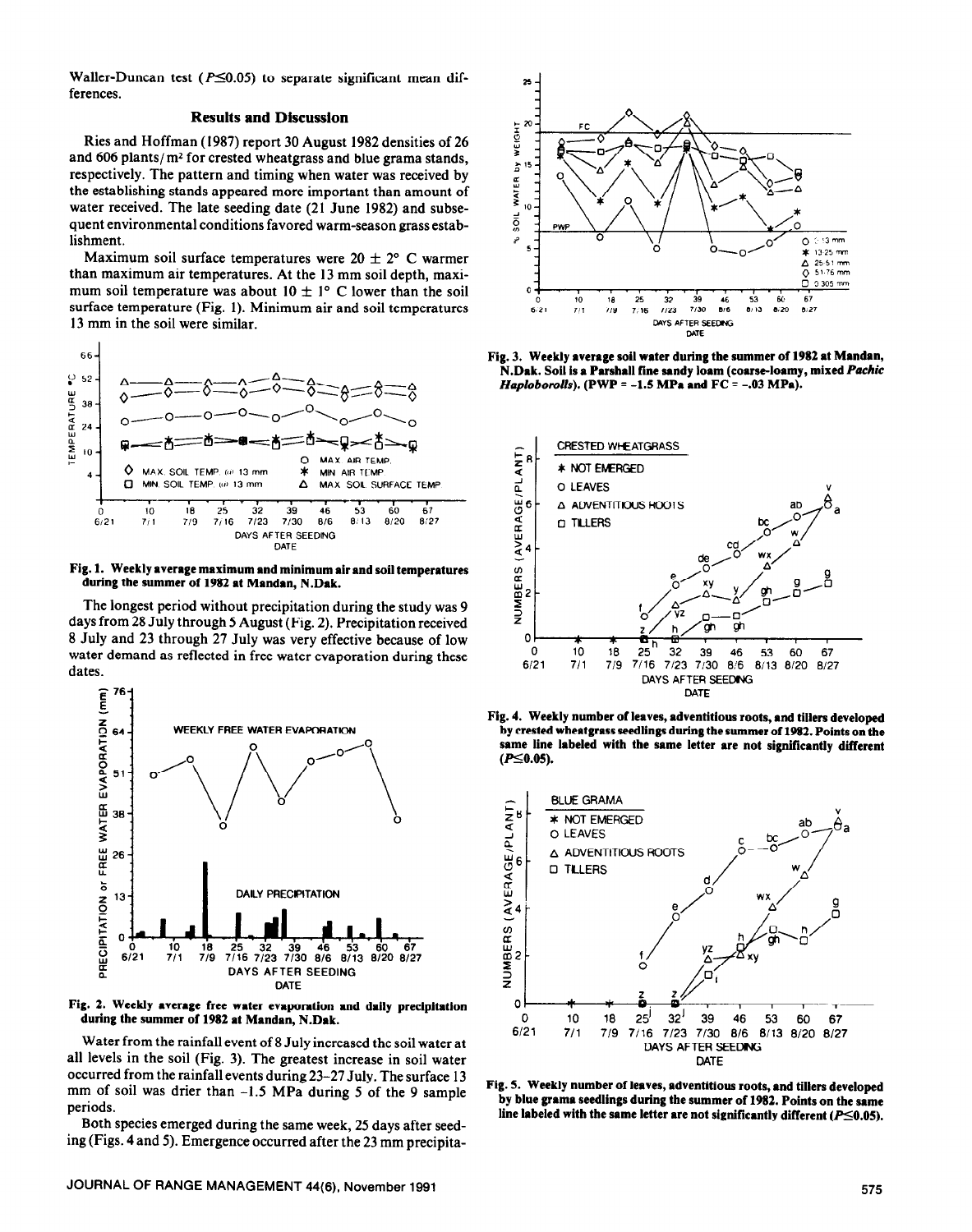Waller-Duncan test ( $P \le 0.05$ ) to separate significant mean differences.

#### **Results and Discussion**

Ries and Hoffman (1987) report 30 August 1982 densities of 26 and  $606$  plants/ $m<sup>2</sup>$  for crested wheatgrass and blue grama stands, respectively. The pattern and timing when water was received by the establishing stands appeared more important than amount of water received. The late seeding date (21 June 1982) and subsequent environmental conditions favored warm-season grass establishment.

Maximum soil surface temperatures were  $20 \pm 2$ ° C warmer than maximum air temperatures. At the 13 mm soil depth, maximum soil temperature was about  $10 \pm 1^{\circ}$  C lower than the soil surface temperature (Fig. 1). Minimum air and soil temperatures 13 mm in the soil were similar.



**Fig. 1. Weekly average** maximum **and minimum air and soil temperatures**  during the summer of 1982 at Mandan, N.Dak.

The longest period without precipitation during the study was 9 days from 28 July through 5 August (Fig. 2). Precipitation received 8 July and 23 through 27 July was very effective because of low water demand as reflected in free water evaporation during these dates.



**Fig. 2. Weekly average free water evaporation and daily precipitation during the summer of 1982 at Mandan, N.Dak.** 

Water from the rainfall event of 8 July increased the soil water at all levels in the soil (Fig. 3). The greatest increase in soil water occurred from the rainfall events during 23-27 July. The surface 13 mm of soil was drier than -1.5 MPa during 5 of the 9 sample periods.

Both species emerged during the same week, 25 days after seeding (Figs. 4 and 5). Emergence occurred after the 23 mm precipita-



**Fig. 3. Weekly average soil water during the summer of 1982 at Mandan, N.Dak. Soil is a Parshall fine sandy loam (coarse-loamy, mixed** *Pachic Haploborolls).* **(PWP = -1.5 MPa and FC = -.03 MPa).** 



**Fig. 4. Weekly number of leaves, adventitious roots, and tillers developed by crested wheatgrass seedlings during the summer of 1982. Points on the same line labeled with the same letter are not significantly different**   $(P \le 0.05)$ .



**Fig. 5. Weekly number of leaves, adventitious roots,** and **tillers developed by blue grama seedlings during the summer of 1982. Points on the same**  line labeled with the same letter are not significantly different  $(P \le 0.05)$ .